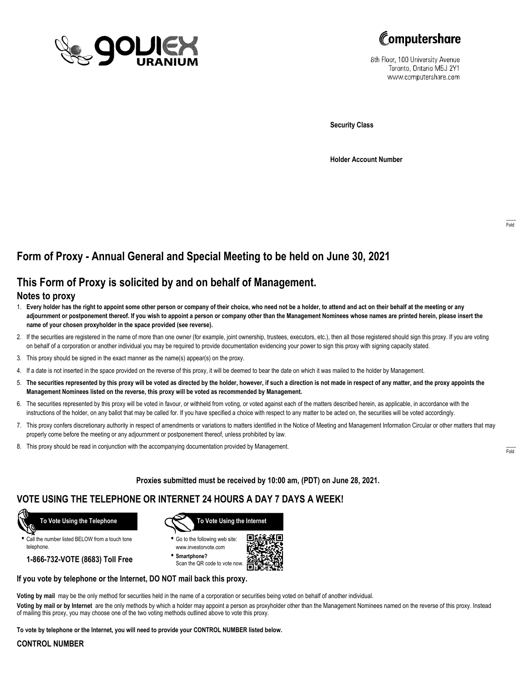



8th Floor, 100 University Avenue Toronto, Ontario M5J 2Y1 www.computershare.com

**Security Class**

**Holder Account Number**

## **Form of Proxy - Annual General and Special Meeting to be held on June 30, 2021**

## **This Form of Proxy is solicited by and on behalf of Management.**

### **Notes to proxy**

- 1. **Every holder has the right to appoint some other person or company of their choice, who need not be a holder, to attend and act on their behalf at the meeting or any adjournment or postponement thereof. If you wish to appoint a person or company other than the Management Nominees whose names are printed herein, please insert the name of your chosen proxyholder in the space provided (see reverse).**
- 2. If the securities are registered in the name of more than one owner (for example, joint ownership, trustees, executors, etc.), then all those registered should sign this proxy. If you are voting on behalf of a corporation or another individual you may be required to provide documentation evidencing your power to sign this proxy with signing capacity stated.
- 3. This proxy should be signed in the exact manner as the name(s) appear(s) on the proxy.
- 4. If a date is not inserted in the space provided on the reverse of this proxy, it will be deemed to bear the date on which it was mailed to the holder by Management.
- 5. **The securities represented by this proxy will be voted as directed by the holder, however, if such a direction is not made in respect of any matter, and the proxy appoints the Management Nominees listed on the reverse, this proxy will be voted as recommended by Management.**
- 6. The securities represented by this proxy will be voted in favour, or withheld from voting, or voted against each of the matters described herein, as applicable, in accordance with the instructions of the holder, on any ballot that may be called for. If you have specified a choice with respect to any matter to be acted on, the securities will be voted accordingly.
- 7. This proxy confers discretionary authority in respect of amendments or variations to matters identified in the Notice of Meeting and Management Information Circular or other matters that may properly come before the meeting or any adjournment or postponement thereof, unless prohibited by law.
- 8. This proxy should be read in conjunction with the accompanying documentation provided by Management.

**Proxies submitted must be received by 10:00 am, (PDT) on June 28, 2021.**

## **VOTE USING THE TELEPHONE OR INTERNET 24 HOURS A DAY 7 DAYS A WEEK!**



**•** Call the number listed BELOW from a touch tone telephone.

**1-866-732-VOTE (8683) Toll Free**



**•** Go to the following web site: www.investorvote.com

**• Smartphone?** Scan the QR code to vote now.



#### **If you vote by telephone or the Internet, DO NOT mail back this proxy.**

**Voting by mail** may be the only method for securities held in the name of a corporation or securities being voted on behalf of another individual.

**Voting by mail or by Internet** are the only methods by which a holder may appoint a person as proxyholder other than the Management Nominees named on the reverse of this proxy. Instead of mailing this proxy, you may choose one of the two voting methods outlined above to vote this proxy.

**To vote by telephone or the Internet, you will need to provide your CONTROL NUMBER listed below.**

#### **CONTROL NUMBER**